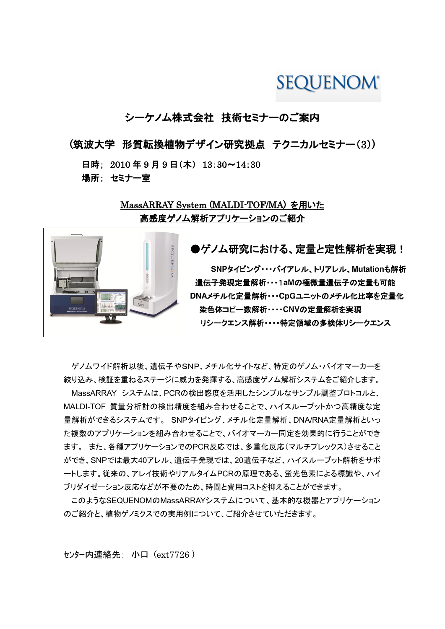# **SEQUENOM®**

# シーケノム株式会社 技術セミナーのご案内

(筑波大学 形質転換植物デザイン研究拠点 テクニカルセミナー(3))

日時; 2010 年 9 月 9 日(木) 13:30~14:30 場所; セミナー室

> MassARRAY System (MALDI-TOF/MA) を用いた 高感度ゲノム解析アプリケーションのご紹介

> > ●ゲノム研究における、定量と定性解析を実現! **SNP**タイピング・・・バイアレル、トリアレル、**Mutation**も解析 遺伝子発現定量解析・・・1**aM**の極微量遺伝子の定量も可能 **DNA**メチル化定量解析・・・**CpG**ユニットのメチル化比率を定量化 染色体コピー数解析・・・・**CNV**の定量解析を実現 リシークエンス解析・・・・特定領域の多検体リシークエンス

ゲノムワイド解析以後、遺伝子やSNP、メチル化サイトなど、特定のゲノム・バイオマーカーを 絞り込み、検証を重ねるステージに威力を発揮する、高感度ゲノム解析システムをご紹介します。

MassARRAY システムは、PCRの検出感度を活用したシンプルなサンプル調整プロトコルと、 MALDI-TOF 質量分析計の検出精度を組み合わせることで、ハイスループットかつ高精度な定 量解析ができるシステムです。 SNPタイピング、メチル化定量解析、DNA/RNA定量解析といっ た複数のアプリケーションを組み合わせることで、バイオマーカー同定を効果的に行うことができ ます。 また、各種アプリケーションでのPCR反応では、多重化反応(マルチプレックス)させること ができ、SNPでは最大40アレル、遺伝子発現では、20遺伝子など、ハイスループット解析をサポ ートします。従来の、アレイ技術やリアルタイムPCRの原理である、蛍光色素による標識や、ハイ ブリダイゼーション反応などが不要のため、時間と費用コストを抑えることができます。

このようなSEQUENOMのMassARRAYシステムについて、基本的な機器とアプリケーション のご紹介と、植物ゲノミクスでの実用例について、ご紹介させていただきます。

センター内連絡先: 小口 (ext7726 )